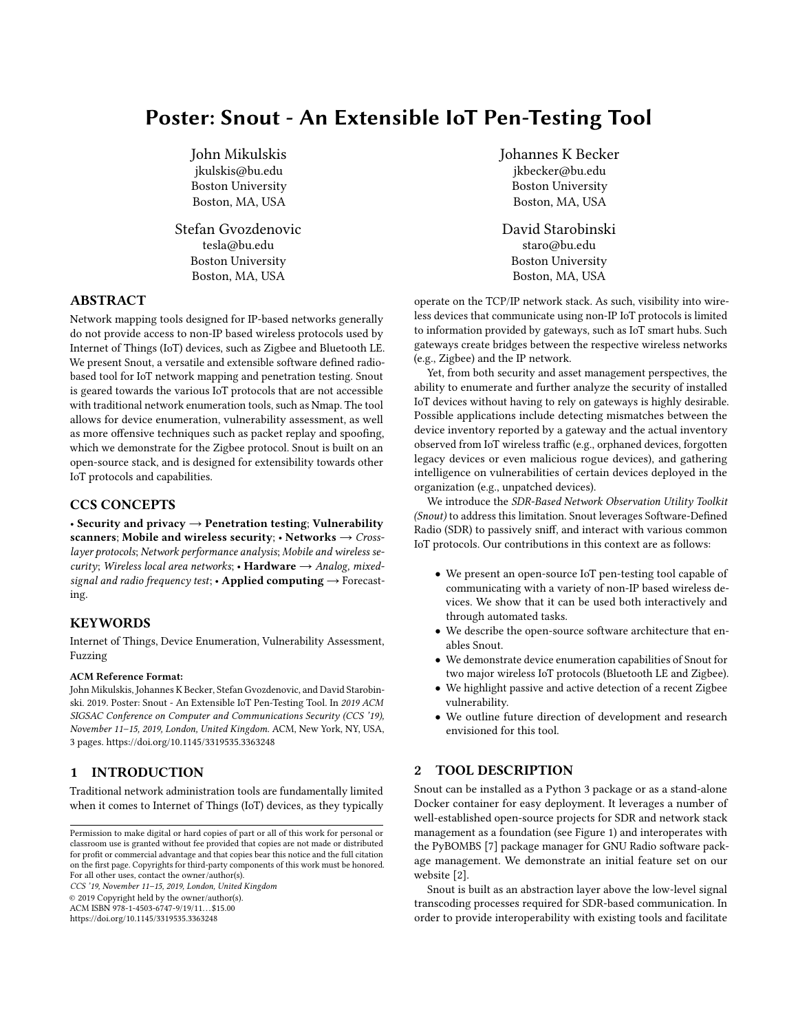# Poster: Snout - An Extensible IoT Pen-Testing Tool

John Mikulskis jkulskis@bu.edu Boston University Boston, MA, USA

Stefan Gvozdenovic tesla@bu.edu Boston University Boston, MA, USA

# ABSTRACT

Network mapping tools designed for IP-based networks generally do not provide access to non-IP based wireless protocols used by Internet of Things (IoT) devices, such as Zigbee and Bluetooth LE. We present Snout, a versatile and extensible software defined radiobased tool for IoT network mapping and penetration testing. Snout is geared towards the various IoT protocols that are not accessible with traditional network enumeration tools, such as Nmap. The tool allows for device enumeration, vulnerability assessment, as well as more offensive techniques such as packet replay and spoofing, which we demonstrate for the Zigbee protocol. Snout is built on an open-source stack, and is designed for extensibility towards other IoT protocols and capabilities.

# CCS CONCEPTS

• Security and privacy  $\rightarrow$  Penetration testing; Vulnerability scanners; Mobile and wireless security; • Networks  $\rightarrow$  Crosslayer protocols; Network performance analysis; Mobile and wireless security; Wireless local area networks; • Hardware  $\rightarrow$  Analog, mixedsignal and radio frequency test; • Applied computing  $\rightarrow$  Forecasting.

# **KEYWORDS**

Internet of Things, Device Enumeration, Vulnerability Assessment, Fuzzing

#### ACM Reference Format:

John Mikulskis, Johannes K Becker, Stefan Gvozdenovic, and David Starobinski. 2019. Poster: Snout - An Extensible IoT Pen-Testing Tool. In 2019 ACM SIGSAC Conference on Computer and Communications Security (CCS '19), November 11–15, 2019, London, United Kingdom. ACM, New York, NY, USA, [3](#page-2-0) pages.<https://doi.org/10.1145/3319535.3363248>

# 1 INTRODUCTION

Traditional network administration tools are fundamentally limited when it comes to Internet of Things (IoT) devices, as they typically

CCS '19, November 11–15, 2019, London, United Kingdom

© 2019 Copyright held by the owner/author(s).

ACM ISBN 978-1-4503-6747-9/19/11...\$15.00

<https://doi.org/10.1145/3319535.3363248>

Johannes K Becker jkbecker@bu.edu Boston University Boston, MA, USA

David Starobinski staro@bu.edu Boston University Boston, MA, USA

operate on the TCP/IP network stack. As such, visibility into wireless devices that communicate using non-IP IoT protocols is limited to information provided by gateways, such as IoT smart hubs. Such gateways create bridges between the respective wireless networks (e.g., Zigbee) and the IP network.

Yet, from both security and asset management perspectives, the ability to enumerate and further analyze the security of installed IoT devices without having to rely on gateways is highly desirable. Possible applications include detecting mismatches between the device inventory reported by a gateway and the actual inventory observed from IoT wireless traffic (e.g., orphaned devices, forgotten legacy devices or even malicious rogue devices), and gathering intelligence on vulnerabilities of certain devices deployed in the organization (e.g., unpatched devices).

We introduce the SDR-Based Network Observation Utility Toolkit (Snout) to address this limitation. Snout leverages Software-Defined Radio (SDR) to passively sniff, and interact with various common IoT protocols. Our contributions in this context are as follows:

- We present an open-source IoT pen-testing tool capable of communicating with a variety of non-IP based wireless devices. We show that it can be used both interactively and through automated tasks.
- We describe the open-source software architecture that enables Snout.
- We demonstrate device enumeration capabilities of Snout for two major wireless IoT protocols (Bluetooth LE and Zigbee).
- We highlight passive and active detection of a recent Zigbee vulnerability.
- We outline future direction of development and research envisioned for this tool.

#### 2 TOOL DESCRIPTION

Snout can be installed as a Python 3 package or as a stand-alone Docker container for easy deployment. It leverages a number of well-established open-source projects for SDR and network stack management as a foundation (see Figure [1\)](#page-1-0) and interoperates with the PyBOMBS [\[7\]](#page-2-1) package manager for GNU Radio software package management. We demonstrate an initial feature set on our website [\[2\]](#page-2-2).

Snout is built as an abstraction layer above the low-level signal transcoding processes required for SDR-based communication. In order to provide interoperability with existing tools and facilitate

Permission to make digital or hard copies of part or all of this work for personal or classroom use is granted without fee provided that copies are not made or distributed for profit or commercial advantage and that copies bear this notice and the full citation on the first page. Copyrights for third-party components of this work must be honored. For all other uses, contact the owner/author(s).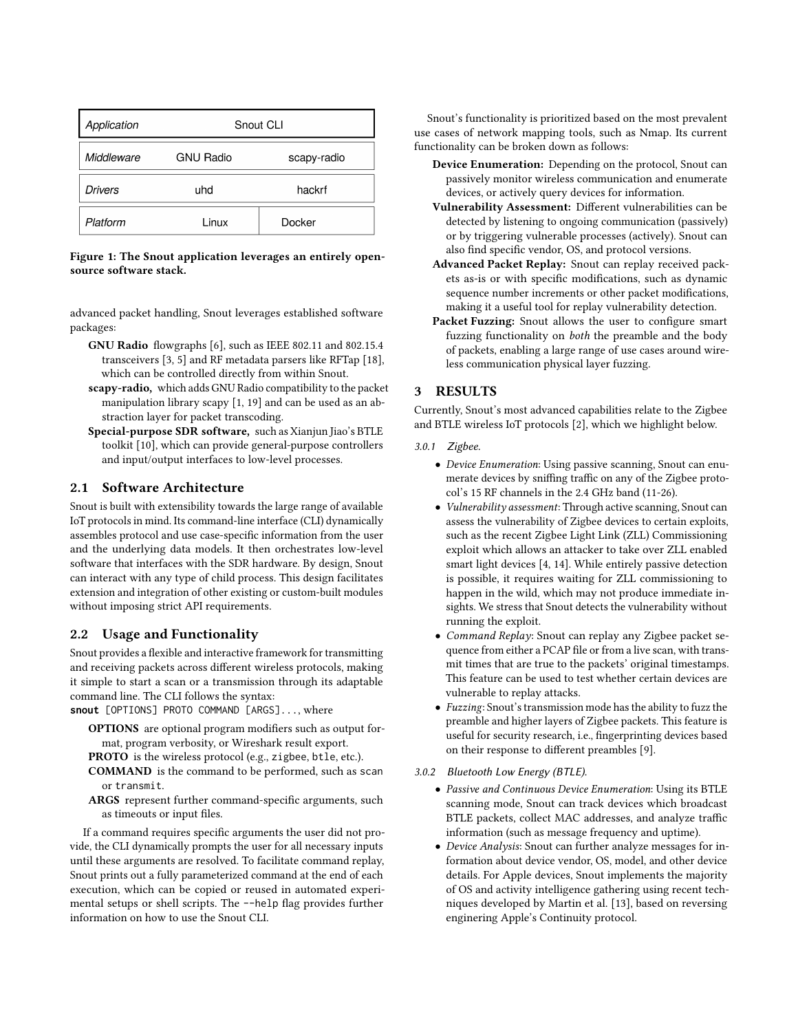<span id="page-1-0"></span>

| Application    | Snout CLI        |             |
|----------------|------------------|-------------|
| Middleware     | <b>GNU Radio</b> | scapy-radio |
| <b>Drivers</b> | uhd              | hackrf      |
| Platform       | Linux            | Docker      |

Figure 1: The Snout application leverages an entirely opensource software stack.

advanced packet handling, Snout leverages established software packages:

- GNU Radio flowgraphs [\[6\]](#page-2-3), such as IEEE 802.11 and 802.15.4 transceivers [\[3,](#page-2-4) [5\]](#page-2-5) and RF metadata parsers like RFTap [\[18\]](#page-2-6), which can be controlled directly from within Snout.
- scapy-radio, which adds GNU Radio compatibility to the packet manipulation library scapy [\[1,](#page-2-7) [19\]](#page-2-8) and can be used as an abstraction layer for packet transcoding.
- Special-purpose SDR software, such as Xianjun Jiao's BTLE toolkit [\[10\]](#page-2-9), which can provide general-purpose controllers and input/output interfaces to low-level processes.

### 2.1 Software Architecture

Snout is built with extensibility towards the large range of available IoT protocols in mind. Its command-line interface (CLI) dynamically assembles protocol and use case-specific information from the user and the underlying data models. It then orchestrates low-level software that interfaces with the SDR hardware. By design, Snout can interact with any type of child process. This design facilitates extension and integration of other existing or custom-built modules without imposing strict API requirements.

# 2.2 Usage and Functionality

Snout provides a flexible and interactive framework for transmitting and receiving packets across different wireless protocols, making it simple to start a scan or a transmission through its adaptable command line. The CLI follows the syntax:

**snout** [OPTIONS] PROTO COMMAND [ARGS]..., where

- OPTIONS are optional program modifiers such as output format, program verbosity, or Wireshark result export.
- PROTO is the wireless protocol (e.g., zigbee, btle, etc.).
- COMMAND is the command to be performed, such as scan or transmit.
- ARGS represent further command-specific arguments, such as timeouts or input files.

If a command requires specific arguments the user did not provide, the CLI dynamically prompts the user for all necessary inputs until these arguments are resolved. To facilitate command replay, Snout prints out a fully parameterized command at the end of each execution, which can be copied or reused in automated experimental setups or shell scripts. The --help flag provides further information on how to use the Snout CLI.

Snout's functionality is prioritized based on the most prevalent use cases of network mapping tools, such as Nmap. Its current functionality can be broken down as follows:

- Device Enumeration: Depending on the protocol, Snout can passively monitor wireless communication and enumerate devices, or actively query devices for information.
- Vulnerability Assessment: Different vulnerabilities can be detected by listening to ongoing communication (passively) or by triggering vulnerable processes (actively). Snout can also find specific vendor, OS, and protocol versions.
- Advanced Packet Replay: Snout can replay received packets as-is or with specific modifications, such as dynamic sequence number increments or other packet modifications, making it a useful tool for replay vulnerability detection.
- Packet Fuzzing: Snout allows the user to configure smart fuzzing functionality on both the preamble and the body of packets, enabling a large range of use cases around wireless communication physical layer fuzzing.

### 3 RESULTS

Currently, Snout's most advanced capabilities relate to the Zigbee and BTLE wireless IoT protocols [\[2\]](#page-2-2), which we highlight below.

- 3.0.1 Zigbee.
	- Device Enumeration: Using passive scanning, Snout can enumerate devices by sniffing traffic on any of the Zigbee protocol's 15 RF channels in the 2.4 GHz band (11-26).
	- Vulnerability assessment: Through active scanning, Snout can assess the vulnerability of Zigbee devices to certain exploits, such as the recent Zigbee Light Link (ZLL) Commissioning exploit which allows an attacker to take over ZLL enabled smart light devices [\[4,](#page-2-10) [14\]](#page-2-11). While entirely passive detection is possible, it requires waiting for ZLL commissioning to happen in the wild, which may not produce immediate insights. We stress that Snout detects the vulnerability without running the exploit.
	- Command Replay: Snout can replay any Zigbee packet sequence from either a PCAP file or from a live scan, with transmit times that are true to the packets' original timestamps. This feature can be used to test whether certain devices are vulnerable to replay attacks.
	- Fuzzing: Snout's transmission mode has the ability to fuzz the preamble and higher layers of Zigbee packets. This feature is useful for security research, i.e., fingerprinting devices based on their response to different preambles [\[9\]](#page-2-12).

#### 3.0.2 Bluetooth Low Energy (BTLE).

- Passive and Continuous Device Enumeration: Using its BTLE scanning mode, Snout can track devices which broadcast BTLE packets, collect MAC addresses, and analyze traffic information (such as message frequency and uptime).
- Device Analysis: Snout can further analyze messages for information about device vendor, OS, model, and other device details. For Apple devices, Snout implements the majority of OS and activity intelligence gathering using recent techniques developed by Martin et al. [\[13\]](#page-2-13), based on reversing enginering Apple's Continuity protocol.